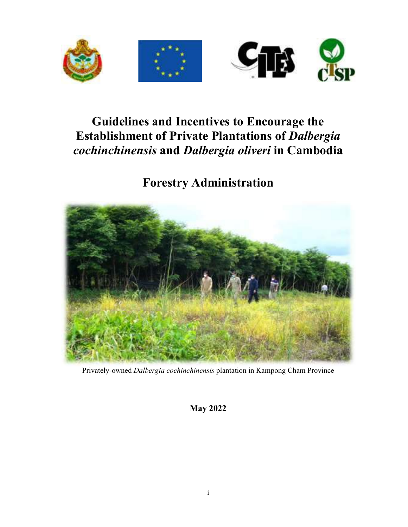

# **Guidelines and Incentives to Encourage the Establishment of Private Plantations of** *Dalbergia cochinchinensis* **and** *Dalbergia oliveri* **in Cambodia**

**Forestry Administration** 



Privately-owned *Dalbergia cochinchinensis* plantation in Kampong Cham Province

**May 2022**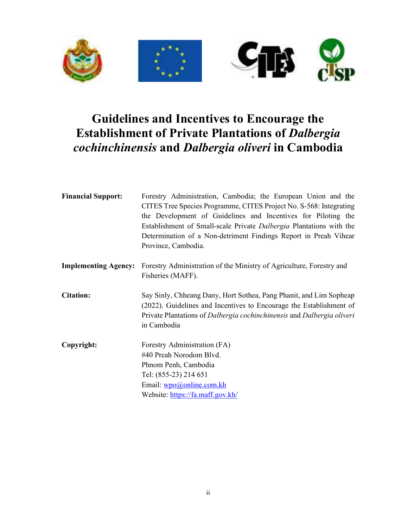

# **Guidelines and Incentives to Encourage the Establishment of Private Plantations of** *Dalbergia cochinchinensis* **and** *Dalbergia oliveri* **in Cambodia**

| <b>Financial Support:</b>   | Forestry Administration, Cambodia; the European Union and the<br>CITES Tree Species Programme, CITES Project No. S-568: Integrating<br>the Development of Guidelines and Incentives for Piloting the<br>Establishment of Small-scale Private Dalbergia Plantations with the<br>Determination of a Non-detriment Findings Report in Preah Vihear<br>Province, Cambodia. |
|-----------------------------|------------------------------------------------------------------------------------------------------------------------------------------------------------------------------------------------------------------------------------------------------------------------------------------------------------------------------------------------------------------------|
| <b>Implementing Agency:</b> | Forestry Administration of the Ministry of Agriculture, Forestry and<br>Fisheries (MAFF).                                                                                                                                                                                                                                                                              |
| <b>Citation:</b>            | Say Sinly, Chheang Dany, Hort Sothea, Pang Phanit, and Lim Sopheap<br>(2022). Guidelines and Incentives to Encourage the Establishment of<br>Private Plantations of Dalbergia cochinchinensis and Dalbergia oliveri<br>in Cambodia                                                                                                                                     |
| Copyright:                  | Forestry Administration (FA)<br>#40 Preah Norodom Blvd.<br>Phnom Penh, Cambodia<br>Tel: (855-23) 214 651<br>Email: wpo@online.com.kh<br>Website: https://fa.maff.gov.kh/                                                                                                                                                                                               |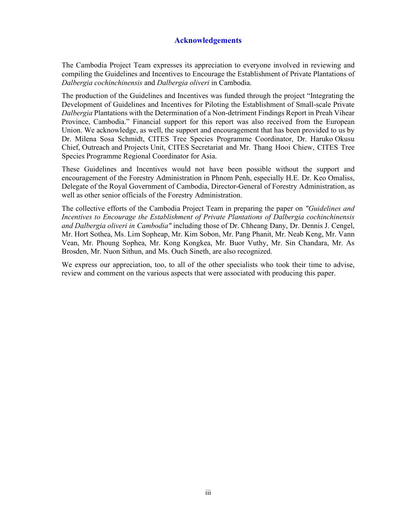#### **Acknowledgements**

The Cambodia Project Team expresses its appreciation to everyone involved in reviewing and compiling the Guidelines and Incentives to Encourage the Establishment of Private Plantations of *Dalbergia cochinchinensis* and *Dalbergia oliveri* in Cambodia.

The production of the Guidelines and Incentives was funded through the project "Integrating the Development of Guidelines and Incentives for Piloting the Establishment of Small-scale Private *Dalbergia* Plantations with the Determination of a Non-detriment Findings Report in Preah Vihear Province, Cambodia." Financial support for this report was also received from the European Union. We acknowledge, as well, the support and encouragement that has been provided to us by Dr. Milena Sosa Schmidt, CITES Tree Species Programme Coordinator, Dr. Haruko Okusu Chief, Outreach and Projects Unit, CITES Secretariat and Mr. Thang Hooi Chiew, CITES Tree Species Programme Regional Coordinator for Asia.

These Guidelines and Incentives would not have been possible without the support and encouragement of the Forestry Administration in Phnom Penh, especially H.E. Dr. Keo Omaliss, Delegate of the Royal Government of Cambodia, Director-General of Forestry Administration, as well as other senior officials of the Forestry Administration.

The collective efforts of the Cambodia Project Team in preparing the paper on *"Guidelines and Incentives to Encourage the Establishment of Private Plantations of Dalbergia cochinchinensis and Dalbergia oliveri in Cambodia"* including those of Dr. Chheang Dany, Dr. Dennis J. Cengel, Mr. Hort Sothea, Ms. Lim Sopheap, Mr. Kim Sobon, Mr. Pang Phanit, Mr. Neab Keng, Mr. Vann Vean, Mr. Phoung Sophea, Mr. Kong Kongkea, Mr. Buor Vuthy, Mr. Sin Chandara, Mr. As Brosden, Mr. Nuon Sithun, and Ms. Ouch Sineth, are also recognized.

We express our appreciation, too, to all of the other specialists who took their time to advise, review and comment on the various aspects that were associated with producing this paper.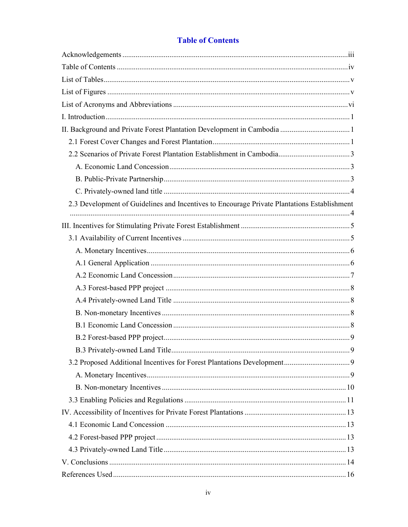| 2.3 Development of Guidelines and Incentives to Encourage Private Plantations Establishment |  |
|---------------------------------------------------------------------------------------------|--|
|                                                                                             |  |
|                                                                                             |  |
|                                                                                             |  |
|                                                                                             |  |
|                                                                                             |  |
|                                                                                             |  |
|                                                                                             |  |
|                                                                                             |  |
|                                                                                             |  |
|                                                                                             |  |
|                                                                                             |  |
|                                                                                             |  |
|                                                                                             |  |
|                                                                                             |  |
|                                                                                             |  |
|                                                                                             |  |
|                                                                                             |  |
|                                                                                             |  |
|                                                                                             |  |
|                                                                                             |  |
|                                                                                             |  |

# **Table of Contents**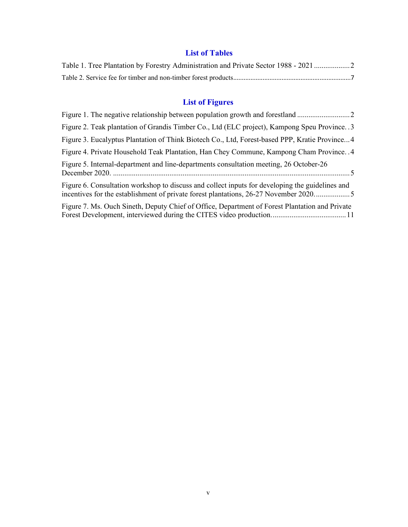# **List of Tables**

| Table 1. Tree Plantation by Forestry Administration and Private Sector 1988 - 2021 2 |  |
|--------------------------------------------------------------------------------------|--|
|                                                                                      |  |

# **List of Figures**

| Figure 2. Teak plantation of Grandis Timber Co., Ltd (ELC project), Kampong Speu Province. 3                                                                                            |
|-----------------------------------------------------------------------------------------------------------------------------------------------------------------------------------------|
| Figure 3. Eucalyptus Plantation of Think Biotech Co., Ltd, Forest-based PPP, Kratie Province4                                                                                           |
| Figure 4. Private Household Teak Plantation, Han Chey Commune, Kampong Cham Province. . 4                                                                                               |
| Figure 5. Internal-department and line-departments consultation meeting, 26 October-26                                                                                                  |
| Figure 6. Consultation workshop to discuss and collect inputs for developing the guidelines and<br>incentives for the establishment of private forest plantations, 26-27 November 20205 |
| Figure 7. Ms. Ouch Sineth, Deputy Chief of Office, Department of Forest Plantation and Private                                                                                          |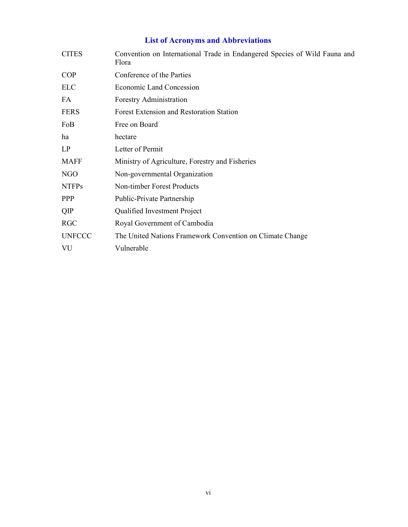# **List of Acronyms and Abbreviations**

| <b>CITES</b>  | Convention on International Trade in Endangered Species of Wild Fauna and<br>Flora |
|---------------|------------------------------------------------------------------------------------|
| <b>COP</b>    | Conference of the Parties                                                          |
| <b>ELC</b>    | <b>Economic Land Concession</b>                                                    |
| FA.           | Forestry Administration                                                            |
| <b>FERS</b>   | Forest Extension and Restoration Station                                           |
| FoB           | Free on Board                                                                      |
| ha            | hectare                                                                            |
| LP            | Letter of Permit                                                                   |
| <b>MAFF</b>   | Ministry of Agriculture, Forestry and Fisheries                                    |
| NGO           | Non-governmental Organization                                                      |
| <b>NTFPs</b>  | <b>Non-timber Forest Products</b>                                                  |
| <b>PPP</b>    | Public-Private Partnership                                                         |
| QIP           | Qualified Investment Project                                                       |
| <b>RGC</b>    | Royal Government of Cambodia                                                       |
| <b>UNFCCC</b> | The United Nations Framework Convention on Climate Change                          |
| VU            | Vulnerable                                                                         |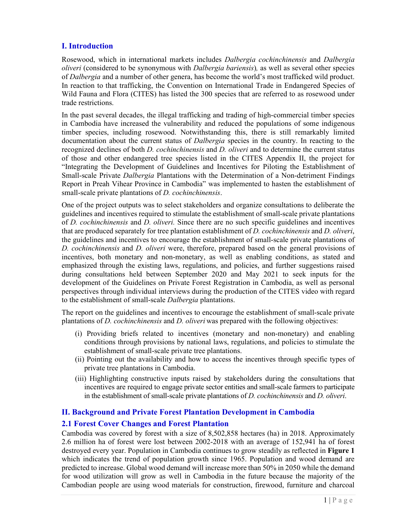# **I. Introduction**

Rosewood, which in international markets includes *Dalbergia cochinchinensis* and *Dalbergia oliveri* (considered to be synonymous with *Dalbergia bariensis*)*,* as well as several other species of *Dalbergia* and a number of other genera, has become the world's most trafficked wild product. In reaction to that trafficking, the Convention on International Trade in Endangered Species of Wild Fauna and Flora (CITES) has listed the 300 species that are referred to as rosewood under trade restrictions.

In the past several decades, the illegal trafficking and trading of high-commercial timber species in Cambodia have increased the vulnerability and reduced the populations of some indigenous timber species, including rosewood. Notwithstanding this, there is still remarkably limited documentation about the current status of *Dalbergia* species in the country. In reacting to the recognized declines of both *D. cochinchinensis* and *D. oliveri* and to determine the current status of those and other endangered tree species listed in the CITES Appendix II, the project for "Integrating the Development of Guidelines and Incentives for Piloting the Establishment of Small-scale Private *Dalbergia* Plantations with the Determination of a Non-detriment Findings Report in Preah Vihear Province in Cambodia" was implemented to hasten the establishment of small-scale private plantations of *D. cochinchinensis*.

One of the project outputs was to select stakeholders and organize consultations to deliberate the guidelines and incentives required to stimulate the establishment of small-scale private plantations of *D. cochinchinensis* and *D. oliveri.* Since there are no such specific guidelines and incentives that are produced separately for tree plantation establishment of *D. cochinchinensis* and *D. oliveri*, the guidelines and incentives to encourage the establishment of small-scale private plantations of *D. cochinchinensis* and *D. oliveri* were, therefore, prepared based on the general provisions of incentives, both monetary and non-monetary, as well as enabling conditions, as stated and emphasized through the existing laws, regulations, and policies, and further suggestions raised during consultations held between September 2020 and May 2021 to seek inputs for the development of the Guidelines on Private Forest Registration in Cambodia, as well as personal perspectives through individual interviews during the production of the CITES video with regard to the establishment of small-scale *Dalbergia* plantations.

The report on the guidelines and incentives to encourage the establishment of small-scale private plantations of *D. cochinchinensis* and *D. oliveri* was prepared with the following objectives:

- (i) Providing briefs related to incentives (monetary and non-monetary) and enabling conditions through provisions by national laws, regulations, and policies to stimulate the establishment of small-scale private tree plantations.
- (ii) Pointing out the availability and how to access the incentives through specific types of private tree plantations in Cambodia.
- (iii) Highlighting constructive inputs raised by stakeholders during the consultations that incentives are required to engage private sector entities and small-scale farmers to participate in the establishment of small-scale private plantations of *D. cochinchinensis* and *D. oliveri*.

## **II. Background and Private Forest Plantation Development in Cambodia**

#### **2.1 Forest Cover Changes and Forest Plantation**

Cambodia was covered by forest with a size of 8,502,858 hectares (ha) in 2018. Approximately 2.6 million ha of forest were lost between 2002-2018 with an average of 152,941 ha of forest destroyed every year. Population in Cambodia continues to grow steadily as reflected in **Figure 1** which indicates the trend of population growth since 1965. Population and wood demand are predicted to increase. Global wood demand will increase more than 50% in 2050 while the demand for wood utilization will grow as well in Cambodia in the future because the majority of the Cambodian people are using wood materials for construction, firewood, furniture and charcoal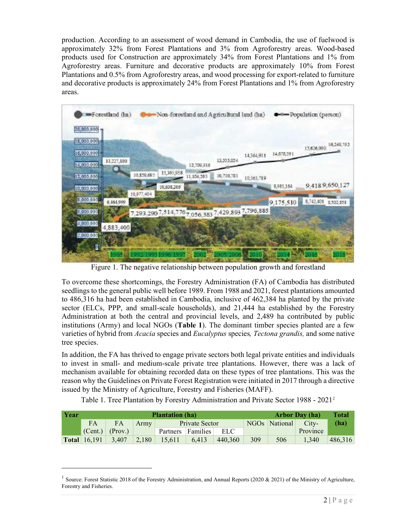production. According to an assessment of wood demand in Cambodia, the use of fuelwood is approximately 32% from Forest Plantations and 3% from Agroforestry areas. Wood-based products used for Construction are approximately 34% from Forest Plantations and 1% from Agroforestry areas. Furniture and decorative products are approximately 10% from Forest Plantations and 0.5% from Agroforestry areas, and wood processing for export-related to furniture and decorative products is approximately 24% from Forest Plantations and 1% from Agroforestry areas.



Figure 1. The negative relationship between population growth and forestland

To overcome these shortcomings, the Forestry Administration (FA) of Cambodia has distributed seedlings to the general public well before 1989. From 1988 and 2021, forest plantations amounted to 486,316 ha had been established in Cambodia, inclusive of 462,384 ha planted by the private sector (ELCs, PPP, and small-scale households), and 21,444 ha established by the Forestry Administration at both the central and provincial levels, and 2,489 ha contributed by public institutions (Army) and local NGOs (**Table 1**). The dominant timber species planted are a few varieties of hybrid from *Acacia* species and *Eucalyptus* species*, Tectona grandis,* and some native tree species.

In addition, the FA has thrived to engage private sectors both legal private entities and individuals to invest in small- and medium-scale private tree plantations. However, there was a lack of mechanism available for obtaining recorded data on these types of tree plantations. This was the reason why the Guidelines on Private Forest Registration were initiated in 2017 through a directive issued by the Ministry of Agriculture, Forestry and Fisheries (MAFF).

Table 1. Tree Plantation by Forestry Administration and Private Sector 1988 - 2021*<sup>1</sup>*

| Year |                     | <b>Plantation</b> (ha) |       |                |                 |         | <b>Arbor Day (ha)</b> |                           |          | <b>Total</b> |
|------|---------------------|------------------------|-------|----------------|-----------------|---------|-----------------------|---------------------------|----------|--------------|
|      | <b>FA</b>           | FA                     | Army  | Private Sector |                 |         |                       | NGO <sub>s</sub> National | City-    | (ha)         |
|      |                     | $ (Cent.) $ $(Prov.)$  |       | Partners       | <b>Families</b> | ELC.    |                       |                           | Province |              |
|      | <b>Total</b> 16,191 | 3.407                  | 2.180 | 15.611         | 6.413           | 440,360 | 309                   | 506                       | 1.340    | 486,316      |

<sup>&</sup>lt;sup>1</sup> Source: Forest Statistic 2018 of the Forestry Administration, and Annual Reports (2020 & 2021) of the Ministry of Agriculture, Forestry and Fisheries.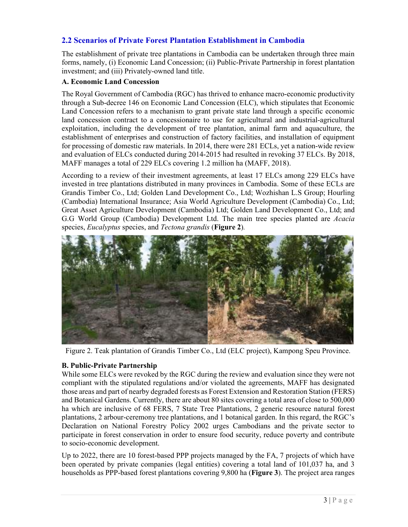# **2.2 Scenarios of Private Forest Plantation Establishment in Cambodia**

The establishment of private tree plantations in Cambodia can be undertaken through three main forms, namely, (i) Economic Land Concession; (ii) Public-Private Partnership in forest plantation investment; and (iii) Privately-owned land title.

#### **A. Economic Land Concession**

The Royal Government of Cambodia (RGC) has thrived to enhance macro-economic productivity through a Sub-decree 146 on Economic Land Concession (ELC), which stipulates that Economic Land Concession refers to a mechanism to grant private state land through a specific economic land concession contract to a concessionaire to use for agricultural and industrial-agricultural exploitation, including the development of tree plantation, animal farm and aquaculture, the establishment of enterprises and construction of factory facilities, and installation of equipment for processing of domestic raw materials. In 2014, there were 281 ECLs, yet a nation-wide review and evaluation of ELCs conducted during 2014-2015 had resulted in revoking 37 ELCs. By 2018, MAFF manages a total of 229 ELCs covering 1.2 million ha (MAFF, 2018).

According to a review of their investment agreements, at least 17 ELCs among 229 ELCs have invested in tree plantations distributed in many provinces in Cambodia. Some of these ECLs are Grandis Timber Co., Ltd; Golden Land Development Co., Ltd; Wozhishan L.S Group; Hourling (Cambodia) International Insurance; Asia World Agriculture Development (Cambodia) Co., Ltd; Great Asset Agriculture Development (Cambodia) Ltd; Golden Land Development Co., Ltd; and G.G World Group (Cambodia) Development Ltd. The main tree species planted are *Acacia*  species, *Eucalyptus* species, and *Tectona grandis* (**Figure 2**)*.* 



Figure 2. Teak plantation of Grandis Timber Co., Ltd (ELC project), Kampong Speu Province.

#### **B. Public-Private Partnership**

While some ELCs were revoked by the RGC during the review and evaluation since they were not compliant with the stipulated regulations and/or violated the agreements, MAFF has designated those areas and part of nearby degraded forests as Forest Extension and Restoration Station (FERS) and Botanical Gardens. Currently, there are about 80 sites covering a total area of close to 500,000 ha which are inclusive of 68 FERS, 7 State Tree Plantations, 2 generic resource natural forest plantations, 2 arbour-ceremony tree plantations, and 1 botanical garden. In this regard, the RGC's Declaration on National Forestry Policy 2002 urges Cambodians and the private sector to participate in forest conservation in order to ensure food security, reduce poverty and contribute to socio-economic development.

Up to 2022, there are 10 forest-based PPP projects managed by the FA, 7 projects of which have been operated by private companies (legal entities) covering a total land of 101,037 ha, and 3 households as PPP-based forest plantations covering 9,800 ha (**Figure 3**). The project area ranges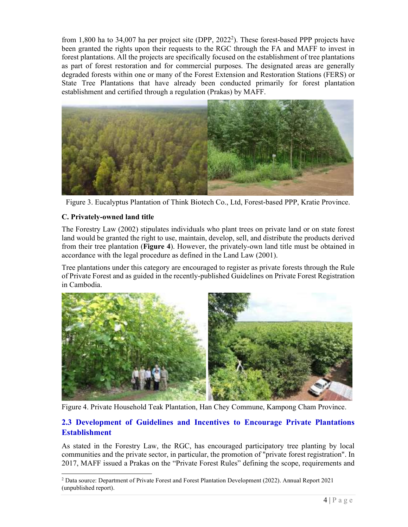from 1,800 ha to 34,007 ha per project site (DPP,  $2022^2$ ). These forest-based PPP projects have been granted the rights upon their requests to the RGC through the FA and MAFF to invest in forest plantations. All the projects are specifically focused on the establishment of tree plantations as part of forest restoration and for commercial purposes. The designated areas are generally degraded forests within one or many of the Forest Extension and Restoration Stations (FERS) or State Tree Plantations that have already been conducted primarily for forest plantation establishment and certified through a regulation (Prakas) by MAFF.



Figure 3. Eucalyptus Plantation of Think Biotech Co., Ltd, Forest-based PPP, Kratie Province.

#### **C. Privately-owned land title**

The Forestry Law (2002) stipulates individuals who plant trees on private land or on state forest land would be granted the right to use, maintain, develop, sell, and distribute the products derived from their tree plantation (**Figure 4**). However, the privately-own land title must be obtained in accordance with the legal procedure as defined in the Land Law (2001).

Tree plantations under this category are encouraged to register as private forests through the Rule of Private Forest and as guided in the recently-published Guidelines on Private Forest Registration in Cambodia.



Figure 4. Private Household Teak Plantation, Han Chey Commune, Kampong Cham Province.

# **2.3 Development of Guidelines and Incentives to Encourage Private Plantations Establishment**

As stated in the Forestry Law, the RGC, has encouraged participatory tree planting by local communities and the private sector, in particular, the promotion of "private forest registration". In 2017, MAFF issued a Prakas on the "Private Forest Rules" defining the scope, requirements and

<sup>&</sup>lt;sup>2</sup> Data source: Department of Private Forest and Forest Plantation Development (2022). Annual Report 2021 (unpublished report).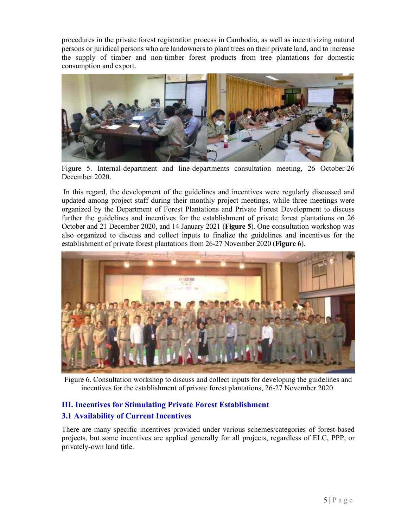procedures in the private forest registration process in Cambodia, as well as incentivizing natural persons or juridical persons who are landowners to plant trees on their private land, and to increase the supply of timber and non-timber forest products from tree plantations for domestic consumption and export.



Figure 5. Internal-department and line-departments consultation meeting, 26 October-26 December 2020.

 In this regard, the development of the guidelines and incentives were regularly discussed and updated among project staff during their monthly project meetings, while three meetings were organized by the Department of Forest Plantations and Private Forest Development to discuss further the guidelines and incentives for the establishment of private forest plantations on 26 October and 21 December 2020, and 14 January 2021 (**Figure 5**). One consultation workshop was also organized to discuss and collect inputs to finalize the guidelines and incentives for the establishment of private forest plantations from 26-27 November 2020 (**Figure 6**).



Figure 6. Consultation workshop to discuss and collect inputs for developing the guidelines and incentives for the establishment of private forest plantations, 26-27 November 2020.

# **III. Incentives for Stimulating Private Forest Establishment**

## **3.1 Availability of Current Incentives**

There are many specific incentives provided under various schemes/categories of forest-based projects, but some incentives are applied generally for all projects, regardless of ELC, PPP, or privately-own land title.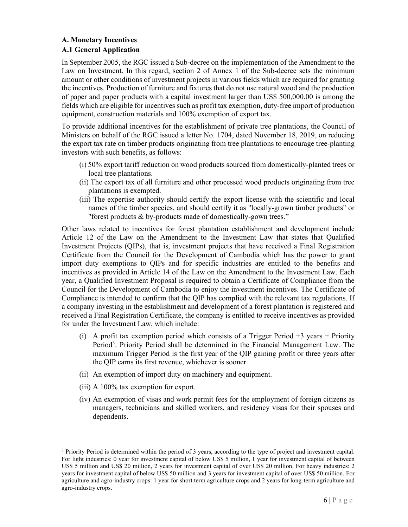#### **A. Monetary Incentives A.1 General Application**

In September 2005, the RGC issued a Sub-decree on the implementation of the Amendment to the Law on Investment. In this regard, section 2 of Annex 1 of the Sub-decree sets the minimum amount or other conditions of investment projects in various fields which are required for granting the incentives. Production of furniture and fixtures that do not use natural wood and the production of paper and paper products with a capital investment larger than US\$ 500,000.00 is among the fields which are eligible for incentives such as profit tax exemption, duty-free import of production equipment, construction materials and 100% exemption of export tax.

To provide additional incentives for the establishment of private tree plantations, the Council of Ministers on behalf of the RGC issued a letter No. 1704, dated November 18, 2019, on reducing the export tax rate on timber products originating from tree plantations to encourage tree-planting investors with such benefits, as follows:

- (i) 50% export tariff reduction on wood products sourced from domestically-planted trees or local tree plantations.
- (ii) The export tax of all furniture and other processed wood products originating from tree plantations is exempted.
- (iii) The expertise authority should certify the export license with the scientific and local names of the timber species, and should certify it as "locally-grown timber products" or "forest products & by-products made of domestically-gown trees."

Other laws related to incentives for forest plantation establishment and development include Article 12 of the Law on the Amendment to the Investment Law that states that Qualified Investment Projects (QIPs), that is, investment projects that have received a Final Registration Certificate from the Council for the Development of Cambodia which has the power to grant import duty exemptions to QIPs and for specific industries are entitled to the benefits and incentives as provided in Article 14 of the Law on the Amendment to the Investment Law. Each year, a Qualified Investment Proposal is required to obtain a Certificate of Compliance from the Council for the Development of Cambodia to enjoy the investment incentives. The Certificate of Compliance is intended to confirm that the QIP has complied with the relevant tax regulations. If a company investing in the establishment and development of a forest plantation is registered and received a Final Registration Certificate, the company is entitled to receive incentives as provided for under the Investment Law, which include:

- (i) A profit tax exemption period which consists of a Trigger Period  $+3$  years  $+$  Priority Period<sup>3</sup>. Priority Period shall be determined in the Financial Management Law. The maximum Trigger Period is the first year of the QIP gaining profit or three years after the QIP earns its first revenue, whichever is sooner.
- (ii) An exemption of import duty on machinery and equipment.
- (iii) A 100% tax exemption for export.
- (iv) An exemption of visas and work permit fees for the employment of foreign citizens as managers, technicians and skilled workers, and residency visas for their spouses and dependents.

<sup>&</sup>lt;sup>3</sup> Priority Period is determined within the period of 3 years, according to the type of project and investment capital. For light industries: 0 year for investment capital of below US\$ 5 million, 1 year for investment capital of between US\$ 5 million and US\$ 20 million, 2 years for investment capital of over US\$ 20 million. For heavy industries: 2 years for investment capital of below US\$ 50 million and 3 years for investment capital of over US\$ 50 million. For agriculture and agro-industry crops: 1 year for short term agriculture crops and 2 years for long-term agriculture and agro-industry crops.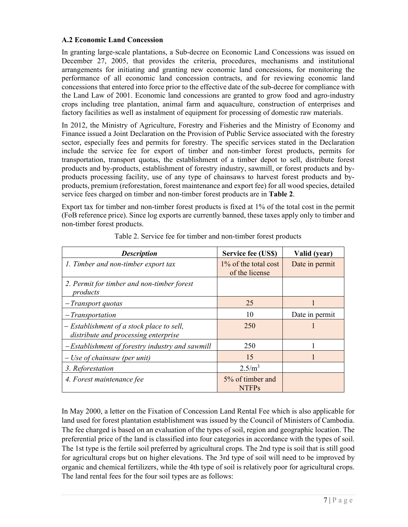#### **A.2 Economic Land Concession**

In granting large-scale plantations, a Sub-decree on Economic Land Concessions was issued on December 27, 2005, that provides the criteria, procedures, mechanisms and institutional arrangements for initiating and granting new economic land concessions, for monitoring the performance of all economic land concession contracts, and for reviewing economic land concessions that entered into force prior to the effective date of the sub-decree for compliance with the Land Law of 2001. Economic land concessions are granted to grow food and agro-industry crops including tree plantation, animal farm and aquaculture, construction of enterprises and factory facilities as well as instalment of equipment for processing of domestic raw materials.

In 2012, the Ministry of Agriculture, Forestry and Fisheries and the Ministry of Economy and Finance issued a Joint Declaration on the Provision of Public Service associated with the forestry sector, especially fees and permits for forestry. The specific services stated in the Declaration include the service fee for export of timber and non-timber forest products, permits for transportation, transport quotas, the establishment of a timber depot to sell, distribute forest products and by-products, establishment of forestry industry, sawmill, or forest products and byproducts processing facility, use of any type of chainsaws to harvest forest products and byproducts, premium (reforestation, forest maintenance and export fee) for all wood species, detailed service fees charged on timber and non-timber forest products are in **Table 2**.

Export tax for timber and non-timber forest products is fixed at 1% of the total cost in the permit (FoB reference price). Since log exports are currently banned, these taxes apply only to timber and non-timber forest products.

| <b>Description</b>                                                                | Service fee (US\$)                        | Valid (year)   |
|-----------------------------------------------------------------------------------|-------------------------------------------|----------------|
| 1. Timber and non-timber export tax                                               | $1\%$ of the total cost<br>of the license | Date in permit |
| 2. Permit for timber and non-timber forest<br>products                            |                                           |                |
| - Transport quotas                                                                | 25                                        |                |
| $-Transportation$                                                                 | 10                                        | Date in permit |
| - Establishment of a stock place to sell,<br>distribute and processing enterprise | 250                                       |                |
| -Establishment of forestry industry and sawmill                                   | 250                                       |                |
| $-$ Use of chainsaw (per unit)                                                    | 15                                        |                |
| 3. Reforestation                                                                  | 2.5/m <sup>3</sup>                        |                |
| 4. Forest maintenance fee                                                         | 5% of timber and<br><b>NTFPs</b>          |                |

Table 2. Service fee for timber and non-timber forest products

In May 2000, a letter on the Fixation of Concession Land Rental Fee which is also applicable for land used for forest plantation establishment was issued by the Council of Ministers of Cambodia. The fee charged is based on an evaluation of the types of soil, region and geographic location. The preferential price of the land is classified into four categories in accordance with the types of soil. The 1st type is the fertile soil preferred by agricultural crops. The 2nd type is soil that is still good for agricultural crops but on higher elevations. The 3rd type of soil will need to be improved by organic and chemical fertilizers, while the 4th type of soil is relatively poor for agricultural crops. The land rental fees for the four soil types are as follows: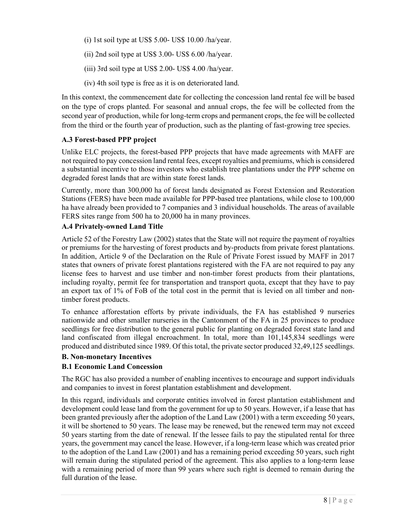- (i) 1st soil type at US\$ 5.00- US\$ 10.00 /ha/year.
- (ii) 2nd soil type at US\$ 3.00- US\$ 6.00 /ha/year.
- (iii) 3rd soil type at US\$ 2.00- US\$ 4.00 /ha/year.
- (iv) 4th soil type is free as it is on deteriorated land.

In this context, the commencement date for collecting the concession land rental fee will be based on the type of crops planted. For seasonal and annual crops, the fee will be collected from the second year of production, while for long-term crops and permanent crops, the fee will be collected from the third or the fourth year of production, such as the planting of fast-growing tree species.

## **A.3 Forest-based PPP project**

Unlike ELC projects, the forest-based PPP projects that have made agreements with MAFF are not required to pay concession land rental fees, except royalties and premiums, which is considered a substantial incentive to those investors who establish tree plantations under the PPP scheme on degraded forest lands that are within state forest lands.

Currently, more than 300,000 ha of forest lands designated as Forest Extension and Restoration Stations (FERS) have been made available for PPP-based tree plantations, while close to 100,000 ha have already been provided to 7 companies and 3 individual households. The areas of available FERS sites range from 500 ha to 20,000 ha in many provinces.

## **A.4 Privately-owned Land Title**

Article 52 of the Forestry Law (2002) states that the State will not require the payment of royalties or premiums for the harvesting of forest products and by-products from private forest plantations. In addition, Article 9 of the Declaration on the Rule of Private Forest issued by MAFF in 2017 states that owners of private forest plantations registered with the FA are not required to pay any license fees to harvest and use timber and non-timber forest products from their plantations, including royalty, permit fee for transportation and transport quota, except that they have to pay an export tax of 1% of FoB of the total cost in the permit that is levied on all timber and nontimber forest products.

To enhance afforestation efforts by private individuals, the FA has established 9 nurseries nationwide and other smaller nurseries in the Cantonment of the FA in 25 provinces to produce seedlings for free distribution to the general public for planting on degraded forest state land and land confiscated from illegal encroachment. In total, more than 101,145,834 seedlings were produced and distributed since 1989. Of this total, the private sector produced 32,49,125 seedlings.

## **B. Non-monetary Incentives**

## **B.1 Economic Land Concession**

The RGC has also provided a number of enabling incentives to encourage and support individuals and companies to invest in forest plantation establishment and development.

In this regard, individuals and corporate entities involved in forest plantation establishment and development could lease land from the government for up to 50 years. However, if a lease that has been granted previously after the adoption of the Land Law (2001) with a term exceeding 50 years, it will be shortened to 50 years. The lease may be renewed, but the renewed term may not exceed 50 years starting from the date of renewal. If the lessee fails to pay the stipulated rental for three years, the government may cancel the lease. However, if a long-term lease which was created prior to the adoption of the Land Law (2001) and has a remaining period exceeding 50 years, such right will remain during the stipulated period of the agreement. This also applies to a long-term lease with a remaining period of more than 99 years where such right is deemed to remain during the full duration of the lease.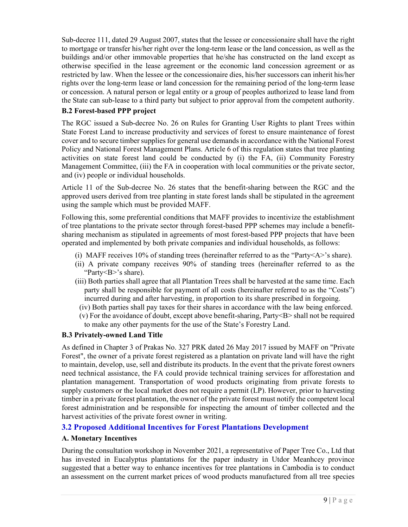Sub-decree 111, dated 29 August 2007, states that the lessee or concessionaire shall have the right to mortgage or transfer his/her right over the long-term lease or the land concession, as well as the buildings and/or other immovable properties that he/she has constructed on the land except as otherwise specified in the lease agreement or the economic land concession agreement or as restricted by law. When the lessee or the concessionaire dies, his/her successors can inherit his/her rights over the long-term lease or land concession for the remaining period of the long-term lease or concession. A natural person or legal entity or a group of peoples authorized to lease land from the State can sub-lease to a third party but subject to prior approval from the competent authority.

#### **B.2 Forest-based PPP project**

The RGC issued a Sub-decree No. 26 on Rules for Granting User Rights to plant Trees within State Forest Land to increase productivity and services of forest to ensure maintenance of forest cover and to secure timber supplies for general use demands in accordance with the National Forest Policy and National Forest Management Plans. Article 6 of this regulation states that tree planting activities on state forest land could be conducted by (i) the FA, (ii) Community Forestry Management Committee, (iii) the FA in cooperation with local communities or the private sector, and (iv) people or individual households.

Article 11 of the Sub-decree No. 26 states that the benefit-sharing between the RGC and the approved users derived from tree planting in state forest lands shall be stipulated in the agreement using the sample which must be provided MAFF.

Following this, some preferential conditions that MAFF provides to incentivize the establishment of tree plantations to the private sector through forest-based PPP schemes may include a benefitsharing mechanism as stipulated in agreements of most forest-based PPP projects that have been operated and implemented by both private companies and individual households, as follows:

- (i) MAFF receives 10% of standing trees (hereinafter referred to as the "Party<A>'s share).
- (ii) A private company receives 90% of standing trees (hereinafter referred to as the "Party<B>'s share).
- (iii) Both parties shall agree that all Plantation Trees shall be harvested at the same time. Each party shall be responsible for payment of all costs (hereinafter referred to as the "Costs") incurred during and after harvesting, in proportion to its share prescribed in forgoing.
	- (iv) Both parties shall pay taxes for their shares in accordance with the law being enforced.
	- (v) For the avoidance of doubt, except above benefit-sharing,  $\text{Party}\leq B$  shall not be required to make any other payments for the use of the State's Forestry Land.

#### **B.3 Privately-owned Land Title**

As defined in Chapter 3 of Prakas No. 327 PRK dated 26 May 2017 issued by MAFF on "Private Forest", the owner of a private forest registered as a plantation on private land will have the right to maintain, develop, use, sell and distribute its products. In the event that the private forest owners need technical assistance, the FA could provide technical training services for afforestation and plantation management. Transportation of wood products originating from private forests to supply customers or the local market does not require a permit (LP). However, prior to harvesting timber in a private forest plantation, the owner of the private forest must notify the competent local forest administration and be responsible for inspecting the amount of timber collected and the harvest activities of the private forest owner in writing.

## **3.2 Proposed Additional Incentives for Forest Plantations Development**

#### **A. Monetary Incentives**

During the consultation workshop in November 2021, a representative of Paper Tree Co., Ltd that has invested in Eucalyptus plantations for the paper industry in Utdor Meanhcey province suggested that a better way to enhance incentives for tree plantations in Cambodia is to conduct an assessment on the current market prices of wood products manufactured from all tree species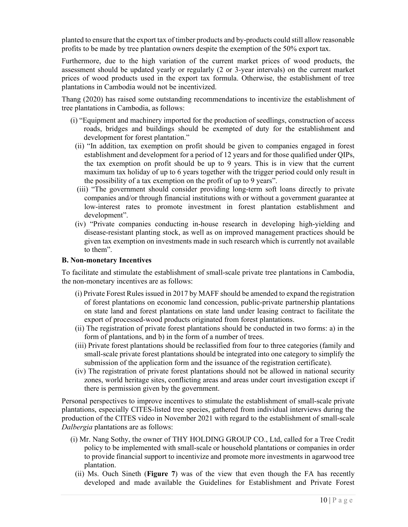planted to ensure that the export tax of timber products and by-products could still allow reasonable profits to be made by tree plantation owners despite the exemption of the 50% export tax.

Furthermore, due to the high variation of the current market prices of wood products, the assessment should be updated yearly or regularly (2 or 3-year intervals) on the current market prices of wood products used in the export tax formula. Otherwise, the establishment of tree plantations in Cambodia would not be incentivized.

Thang (2020) has raised some outstanding recommendations to incentivize the establishment of tree plantations in Cambodia, as follows:

- (i) "Equipment and machinery imported for the production of seedlings, construction of access roads, bridges and buildings should be exempted of duty for the establishment and development for forest plantation."
- (ii) "In addition, tax exemption on profit should be given to companies engaged in forest establishment and development for a period of 12 years and for those qualified under QIPs, the tax exemption on profit should be up to 9 years. This is in view that the current maximum tax holiday of up to 6 years together with the trigger period could only result in the possibility of a tax exemption on the profit of up to 9 years".
- (iii) "The government should consider providing long-term soft loans directly to private companies and/or through financial institutions with or without a government guarantee at low-interest rates to promote investment in forest plantation establishment and development".
- (iv) "Private companies conducting in-house research in developing high-yielding and disease-resistant planting stock, as well as on improved management practices should be given tax exemption on investments made in such research which is currently not available to them".

#### **B. Non-monetary Incentives**

To facilitate and stimulate the establishment of small-scale private tree plantations in Cambodia, the non-monetary incentives are as follows:

- (i) Private Forest Rules issued in 2017 by MAFF should be amended to expand the registration of forest plantations on economic land concession, public-private partnership plantations on state land and forest plantations on state land under leasing contract to facilitate the export of processed-wood products originated from forest plantations.
- (ii) The registration of private forest plantations should be conducted in two forms: a) in the form of plantations, and b) in the form of a number of trees.
- (iii) Private forest plantations should be reclassified from four to three categories (family and small-scale private forest plantations should be integrated into one category to simplify the submission of the application form and the issuance of the registration certificate).
- (iv) The registration of private forest plantations should not be allowed in national security zones, world heritage sites, conflicting areas and areas under court investigation except if there is permission given by the government.

Personal perspectives to improve incentives to stimulate the establishment of small-scale private plantations, especially CITES-listed tree species, gathered from individual interviews during the production of the CITES video in November 2021 with regard to the establishment of small-scale *Dalbergia* plantations are as follows:

- (i) Mr. Nang Sothy, the owner of THY HOLDING GROUP CO., Ltd, called for a Tree Credit policy to be implemented with small-scale or household plantations or companies in order to provide financial support to incentivize and promote more investments in agarwood tree plantation.
- (ii) Ms. Ouch Sineth (**Figure 7**) was of the view that even though the FA has recently developed and made available the Guidelines for Establishment and Private Forest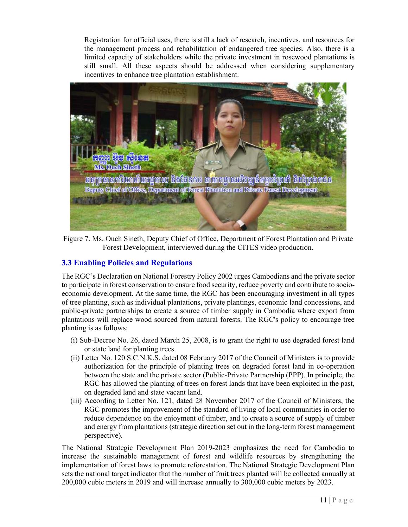Registration for official uses, there is still a lack of research, incentives, and resources for the management process and rehabilitation of endangered tree species. Also, there is a limited capacity of stakeholders while the private investment in rosewood plantations is still small. All these aspects should be addressed when considering supplementary incentives to enhance tree plantation establishment.



Figure 7. Ms. Ouch Sineth, Deputy Chief of Office, Department of Forest Plantation and Private Forest Development, interviewed during the CITES video production.

# **3.3 Enabling Policies and Regulations**

The RGC's Declaration on National Forestry Policy 2002 urges Cambodians and the private sector to participate in forest conservation to ensure food security, reduce poverty and contribute to socioeconomic development. At the same time, the RGC has been encouraging investment in all types of tree planting, such as individual plantations, private plantings, economic land concessions, and public-private partnerships to create a source of timber supply in Cambodia where export from plantations will replace wood sourced from natural forests. The RGC's policy to encourage tree planting is as follows:

- (i) Sub-Decree No. 26, dated March 25, 2008, is to grant the right to use degraded forest land or state land for planting trees.
- (ii) Letter No. 120 S.C.N.K.S. dated 08 February 2017 of the Council of Ministers is to provide authorization for the principle of planting trees on degraded forest land in co-operation between the state and the private sector (Public-Private Partnership (PPP). In principle, the RGC has allowed the planting of trees on forest lands that have been exploited in the past, on degraded land and state vacant land.
- (iii) According to Letter No. 121, dated 28 November 2017 of the Council of Ministers, the RGC promotes the improvement of the standard of living of local communities in order to reduce dependence on the enjoyment of timber, and to create a source of supply of timber and energy from plantations (strategic direction set out in the long-term forest management perspective).

The National Strategic Development Plan 2019-2023 emphasizes the need for Cambodia to increase the sustainable management of forest and wildlife resources by strengthening the implementation of forest laws to promote reforestation. The National Strategic Development Plan sets the national target indicator that the number of fruit trees planted will be collected annually at 200,000 cubic meters in 2019 and will increase annually to 300,000 cubic meters by 2023.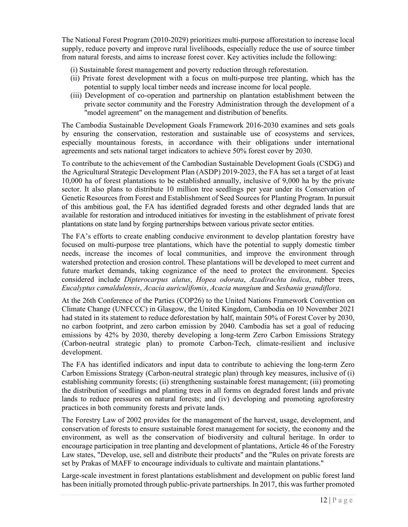The National Forest Program (2010-2029) prioritizes multi-purpose afforestation to increase local supply, reduce poverty and improve rural livelihoods, especially reduce the use of source timber from natural forests, and aims to increase forest cover. Key activities include the following:

(i) Sustainable forest management and poverty reduction through reforestation.

- (ii) Private forest development with a focus on multi-purpose tree planting, which has the potential to supply local timber needs and increase income for local people.
- (iii) Development of co-operation and partnership on plantation establishment between the private sector community and the Forestry Administration through the development of a "model agreement" on the management and distribution of benefits.

The Cambodia Sustainable Development Goals Framework 2016-2030 examines and sets goals by ensuring the conservation, restoration and sustainable use of ecosystems and services, especially mountainous forests, in accordance with their obligations under international agreements and sets national target indicators to achieve 50% forest cover by 2030.

To contribute to the achievement of the Cambodian Sustainable Development Goals (CSDG) and the Agricultural Strategic Development Plan (ASDP) 2019-2023, the FA has set a target of at least 10,000 ha of forest plantations to be established annually, inclusive of 9,000 ha by the private sector. It also plans to distribute 10 million tree seedlings per year under its Conservation of Genetic Resources from Forest and Establishment of Seed Sources for Planting Program. In pursuit of this ambitious goal, the FA has identified degraded forests and other degraded lands that are available for restoration and introduced initiatives for investing in the establishment of private forest plantations on state land by forging partnerships between various private sector entities.

The FA's efforts to create enabling conducive environment to develop plantation forestry have focused on multi-purpose tree plantations, which have the potential to supply domestic timber needs, increase the incomes of local communities, and improve the environment through watershed protection and erosion control. These plantations will be developed to meet current and future market demands, taking cognizance of the need to protect the environment. Species considered include *Dipterocarpus alatus*, *Hopea odorata*, *Azadirachta indica*, rubber trees, *Eucalyptus camaldulensis*, *Acacia auriculifomis*, *Acacia mangium* and *Sesbania grandiflora*.

At the 26th Conference of the Parties (COP26) to the United Nations Framework Convention on Climate Change (UNFCCC) in Glasgow, the United Kingdom, Cambodia on 10 November 2021 had stated in its statement to reduce deforestation by half, maintain 50% of Forest Cover by 2030, no carbon footprint, and zero carbon emission by 2040. Cambodia has set a goal of reducing emissions by 42% by 2030, thereby developing a long-term Zero Carbon Emissions Strategy (Carbon-neutral strategic plan) to promote Carbon-Tech, climate-resilient and inclusive development.

The FA has identified indicators and input data to contribute to achieving the long-term Zero Carbon Emissions Strategy (Carbon-neutral strategic plan) through key measures, inclusive of (i) establishing community forests; (ii) strengthening sustainable forest management; (iii) promoting the distribution of seedlings and planting trees in all forms on degraded forest lands and private lands to reduce pressures on natural forests; and (iv) developing and promoting agroforestry practices in both community forests and private lands.

The Forestry Law of 2002 provides for the management of the harvest, usage, development, and conservation of forests to ensure sustainable forest management for society, the economy and the environment, as well as the conservation of biodiversity and cultural heritage. In order to encourage participation in tree planting and development of plantations, Article 46 of the Forestry Law states, "Develop, use, sell and distribute their products" and the "Rules on private forests are set by Prakas of MAFF to encourage individuals to cultivate and maintain plantations."

Large-scale investment in forest plantations establishment and development on public forest land has been initially promoted through public-private partnerships. In 2017, this was further promoted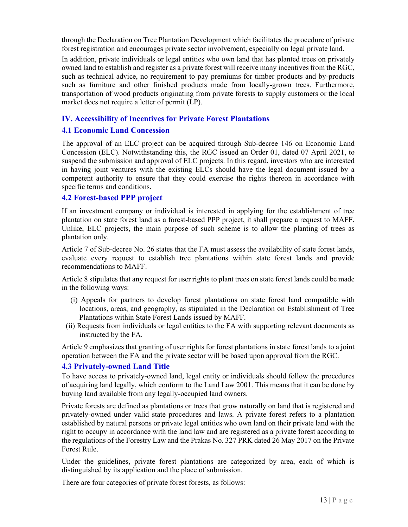through the Declaration on Tree Plantation Development which facilitates the procedure of private forest registration and encourages private sector involvement, especially on legal private land.

In addition, private individuals or legal entities who own land that has planted trees on privately owned land to establish and register as a private forest will receive many incentives from the RGC, such as technical advice, no requirement to pay premiums for timber products and by-products such as furniture and other finished products made from locally-grown trees. Furthermore, transportation of wood products originating from private forests to supply customers or the local market does not require a letter of permit (LP).

#### **IV. Accessibility of Incentives for Private Forest Plantations**

#### **4.1 Economic Land Concession**

The approval of an ELC project can be acquired through Sub-decree 146 on Economic Land Concession (ELC). Notwithstanding this, the RGC issued an Order 01, dated 07 April 2021, to suspend the submission and approval of ELC projects. In this regard, investors who are interested in having joint ventures with the existing ELCs should have the legal document issued by a competent authority to ensure that they could exercise the rights thereon in accordance with specific terms and conditions.

#### **4.2 Forest-based PPP project**

If an investment company or individual is interested in applying for the establishment of tree plantation on state forest land as a forest-based PPP project, it shall prepare a request to MAFF. Unlike, ELC projects, the main purpose of such scheme is to allow the planting of trees as plantation only.

Article 7 of Sub-decree No. 26 states that the FA must assess the availability of state forest lands, evaluate every request to establish tree plantations within state forest lands and provide recommendations to MAFF.

Article 8 stipulates that any request for user rights to plant trees on state forest lands could be made in the following ways:

- (i) Appeals for partners to develop forest plantations on state forest land compatible with locations, areas, and geography, as stipulated in the Declaration on Establishment of Tree Plantations within State Forest Lands issued by MAFF.
- (ii) Requests from individuals or legal entities to the FA with supporting relevant documents as instructed by the FA.

Article 9 emphasizes that granting of user rights for forest plantations in state forest lands to a joint operation between the FA and the private sector will be based upon approval from the RGC.

#### **4.3 Privately-owned Land Title**

To have access to privately-owned land, legal entity or individuals should follow the procedures of acquiring land legally, which conform to the Land Law 2001. This means that it can be done by buying land available from any legally-occupied land owners.

Private forests are defined as plantations or trees that grow naturally on land that is registered and privately-owned under valid state procedures and laws. A private forest refers to a plantation established by natural persons or private legal entities who own land on their private land with the right to occupy in accordance with the land law and are registered as a private forest according to the regulations of the Forestry Law and the Prakas No. 327 PRK dated 26 May 2017 on the Private Forest Rule.

Under the guidelines, private forest plantations are categorized by area, each of which is distinguished by its application and the place of submission.

There are four categories of private forest forests, as follows: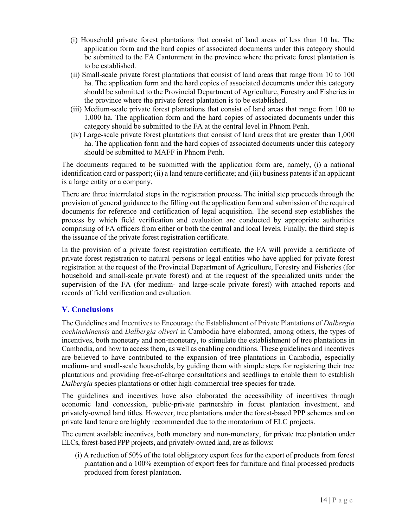- (i) Household private forest plantations that consist of land areas of less than 10 ha. The application form and the hard copies of associated documents under this category should be submitted to the FA Cantonment in the province where the private forest plantation is to be established.
- (ii) Small-scale private forest plantations that consist of land areas that range from 10 to 100 ha. The application form and the hard copies of associated documents under this category should be submitted to the Provincial Department of Agriculture, Forestry and Fisheries in the province where the private forest plantation is to be established.
- (iii) Medium-scale private forest plantations that consist of land areas that range from 100 to 1,000 ha. The application form and the hard copies of associated documents under this category should be submitted to the FA at the central level in Phnom Penh.
- (iv) Large-scale private forest plantations that consist of land areas that are greater than 1,000 ha. The application form and the hard copies of associated documents under this category should be submitted to MAFF in Phnom Penh.

The documents required to be submitted with the application form are, namely, (i) a national identification card or passport; (ii) a land tenure certificate; and (iii) business patents if an applicant is a large entity or a company.

There are three interrelated steps in the registration process**.** The initial step proceeds through the provision of general guidance to the filling out the application form and submission of the required documents for reference and certification of legal acquisition. The second step establishes the process by which field verification and evaluation are conducted by appropriate authorities comprising of FA officers from either or both the central and local levels. Finally, the third step is the issuance of the private forest registration certificate.

In the provision of a private forest registration certificate, the FA will provide a certificate of private forest registration to natural persons or legal entities who have applied for private forest registration at the request of the Provincial Department of Agriculture, Forestry and Fisheries (for household and small-scale private forest) and at the request of the specialized units under the supervision of the FA (for medium- and large-scale private forest) with attached reports and records of field verification and evaluation.

## **V. Conclusions**

The Guidelines and Incentives to Encourage the Establishment of Private Plantations of *Dalbergia cochinchinensis* and *Dalbergia oliveri* in Cambodia have elaborated, among others, the types of incentives, both monetary and non-monetary, to stimulate the establishment of tree plantations in Cambodia, and how to access them, as well as enabling conditions. These guidelines and incentives are believed to have contributed to the expansion of tree plantations in Cambodia, especially medium- and small-scale households, by guiding them with simple steps for registering their tree plantations and providing free-of-charge consultations and seedlings to enable them to establish *Dalbergia* species plantations or other high-commercial tree species for trade.

The guidelines and incentives have also elaborated the accessibility of incentives through economic land concession, public-private partnership in forest plantation investment, and privately-owned land titles. However, tree plantations under the forest-based PPP schemes and on private land tenure are highly recommended due to the moratorium of ELC projects.

The current available incentives, both monetary and non-monetary, for private tree plantation under ELCs, forest-based PPP projects, and privately-owned land, are as follows:

(i) A reduction of 50% of the total obligatory export fees for the export of products from forest plantation and a 100% exemption of export fees for furniture and final processed products produced from forest plantation.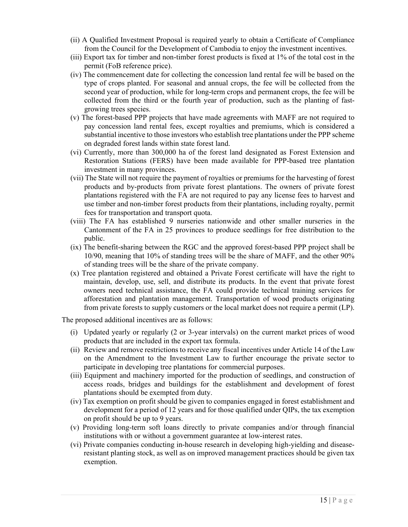- (ii) A Qualified Investment Proposal is required yearly to obtain a Certificate of Compliance from the Council for the Development of Cambodia to enjoy the investment incentives.
- (iii) Export tax for timber and non-timber forest products is fixed at 1% of the total cost in the permit (FoB reference price).
- (iv) The commencement date for collecting the concession land rental fee will be based on the type of crops planted. For seasonal and annual crops, the fee will be collected from the second year of production, while for long-term crops and permanent crops, the fee will be collected from the third or the fourth year of production, such as the planting of fastgrowing trees species.
- (v) The forest-based PPP projects that have made agreements with MAFF are not required to pay concession land rental fees, except royalties and premiums, which is considered a substantial incentive to those investors who establish tree plantations under the PPP scheme on degraded forest lands within state forest land.
- (vi) Currently, more than 300,000 ha of the forest land designated as Forest Extension and Restoration Stations (FERS) have been made available for PPP-based tree plantation investment in many provinces.
- (vii) The State will not require the payment of royalties or premiums for the harvesting of forest products and by-products from private forest plantations. The owners of private forest plantations registered with the FA are not required to pay any license fees to harvest and use timber and non-timber forest products from their plantations, including royalty, permit fees for transportation and transport quota.
- (viii) The FA has established 9 nurseries nationwide and other smaller nurseries in the Cantonment of the FA in 25 provinces to produce seedlings for free distribution to the public.
- (ix) The benefit-sharing between the RGC and the approved forest-based PPP project shall be 10/90, meaning that 10% of standing trees will be the share of MAFF, and the other 90% of standing trees will be the share of the private company.
- (x) Tree plantation registered and obtained a Private Forest certificate will have the right to maintain, develop, use, sell, and distribute its products. In the event that private forest owners need technical assistance, the FA could provide technical training services for afforestation and plantation management. Transportation of wood products originating from private forests to supply customers or the local market does not require a permit (LP).

The proposed additional incentives are as follows:

- (i) Updated yearly or regularly (2 or 3-year intervals) on the current market prices of wood products that are included in the export tax formula.
- (ii) Review and remove restrictions to receive any fiscal incentives under Article 14 of the Law on the Amendment to the Investment Law to further encourage the private sector to participate in developing tree plantations for commercial purposes.
- (iii) Equipment and machinery imported for the production of seedlings, and construction of access roads, bridges and buildings for the establishment and development of forest plantations should be exempted from duty.
- (iv) Tax exemption on profit should be given to companies engaged in forest establishment and development for a period of 12 years and for those qualified under QIPs, the tax exemption on profit should be up to 9 years.
- (v) Providing long-term soft loans directly to private companies and/or through financial institutions with or without a government guarantee at low-interest rates.
- (vi) Private companies conducting in-house research in developing high-yielding and diseaseresistant planting stock, as well as on improved management practices should be given tax exemption.